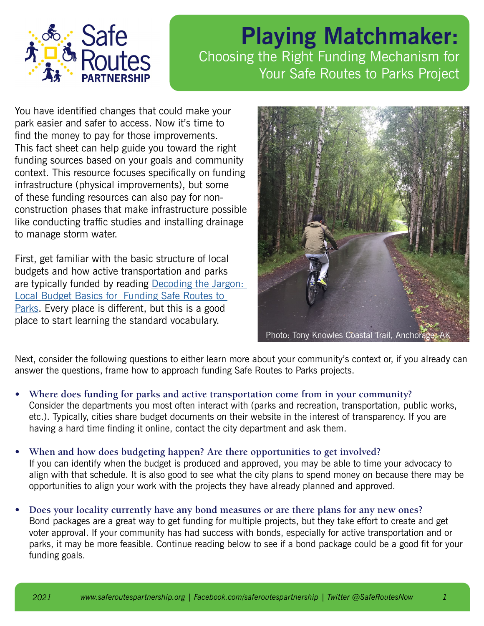

## **Playing Matchmaker:** Choosing the Right Funding Mechanism for Your Safe Routes to Parks Project

You have identified changes that could make your park easier and safer to access. Now it's time to find the money to pay for those improvements. This fact sheet can help guide you toward the right funding sources based on your goals and community context. This resource focuses specifically on funding infrastructure (physical improvements), but some of these funding resources can also pay for nonconstruction phases that make infrastructure possible like conducting traffic studies and installing drainage to manage storm water.

First, get familiar with the basic structure of local budgets and how active transportation and parks are typically funded by reading [Decoding the Jargon:](https://saferoutespartnership.org/resources/fact-sheet/decoding-jargon)  [Local Budget Basics for Funding Safe Routes to](https://saferoutespartnership.org/resources/fact-sheet/decoding-jargon)  [Parks](https://saferoutespartnership.org/resources/fact-sheet/decoding-jargon). Every place is different, but this is a good place to start learning the standard vocabulary.



Next, consider the following questions to either learn more about your community's context or, if you already can answer the questions, frame how to approach funding Safe Routes to Parks projects.

- **• Where does funding for parks and active transportation come from in your community?** Consider the departments you most often interact with (parks and recreation, transportation, public works, etc.). Typically, cities share budget documents on their website in the interest of transparency. If you are having a hard time finding it online, contact the city department and ask them.
- **• When and how does budgeting happen? Are there opportunities to get involved?** If you can identify when the budget is produced and approved, you may be able to time your advocacy to align with that schedule. It is also good to see what the city plans to spend money on because there may be opportunities to align your work with the projects they have already planned and approved.
- **• Does your locality currently have any bond measures or are there plans for any new ones?** Bond packages are a great way to get funding for multiple projects, but they take effort to create and get voter approval. If your community has had success with bonds, especially for active transportation and or parks, it may be more feasible. Continue reading below to see if a bond package could be a good fit for your funding goals.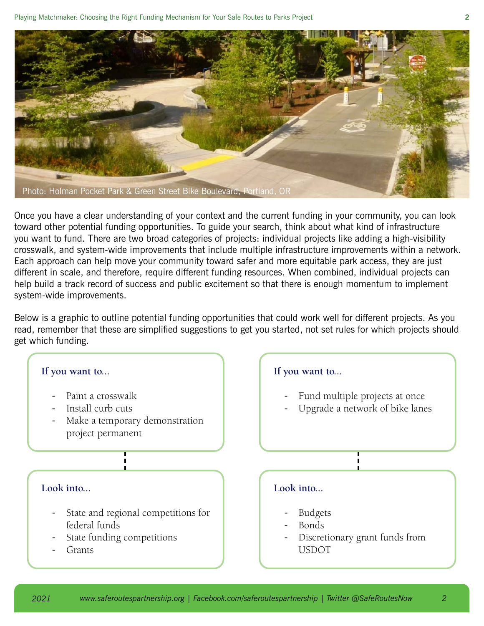

Once you have a clear understanding of your context and the current funding in your community, you can look toward other potential funding opportunities. To guide your search, think about what kind of infrastructure you want to fund. There are two broad categories of projects: individual projects like adding a high-visibility crosswalk, and system-wide improvements that include multiple infrastructure improvements within a network. Each approach can help move your community toward safer and more equitable park access, they are just different in scale, and therefore, require different funding resources. When combined, individual projects can help build a track record of success and public excitement so that there is enough momentum to implement system-wide improvements.

Below is a graphic to outline potential funding opportunities that could work well for different projects. As you read, remember that these are simplified suggestions to get you started, not set rules for which projects should get which funding.